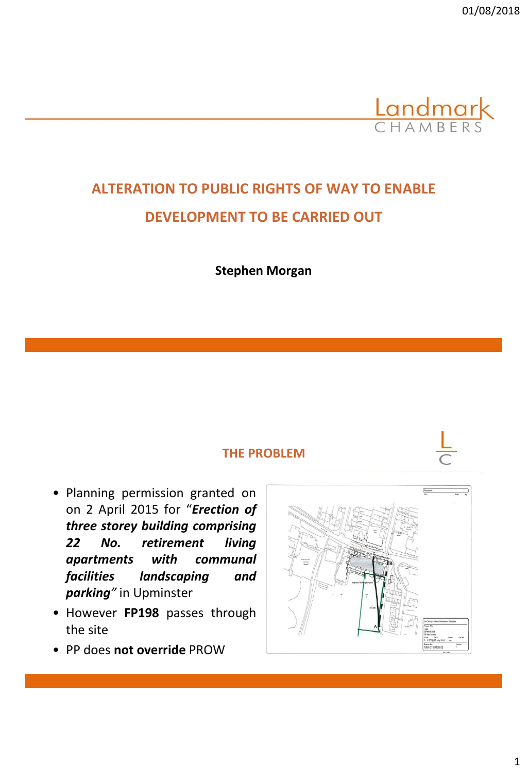

# **ALTERATION TO PUBLIC RIGHTS OF WAY TO ENABLE DEVELOPMENT TO BE CARRIED OUT**

**Stephen Morgan**

#### **THE PROBLEM**

- Planning permission granted on on 2 April 2015 for "*Erection of three storey building comprising 22 No. retirement living apartments with communal facilities landscaping and parking"* in Upminster
- However **FP198** passes through the site
- PP does **not override** PROW

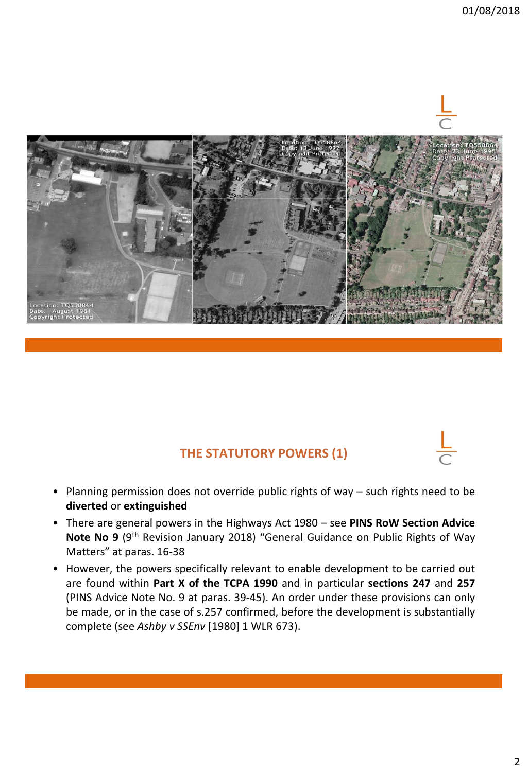

# **THE STATUTORY POWERS (1)**

- Planning permission does not override public rights of way such rights need to be **diverted** or **extinguished**
- There are general powers in the Highways Act 1980 see **PINS RoW Section Advice** Note No 9 (9<sup>th</sup> Revision January 2018) "General Guidance on Public Rights of Way Matters" at paras. 16-38
- However, the powers specifically relevant to enable development to be carried out are found within **Part X of the TCPA 1990** and in particular **sections 247** and **257** (PINS Advice Note No. 9 at paras. 39-45). An order under these provisions can only be made, or in the case of s.257 confirmed, before the development is substantially complete (see *Ashby v SSEnv* [1980] 1 WLR 673).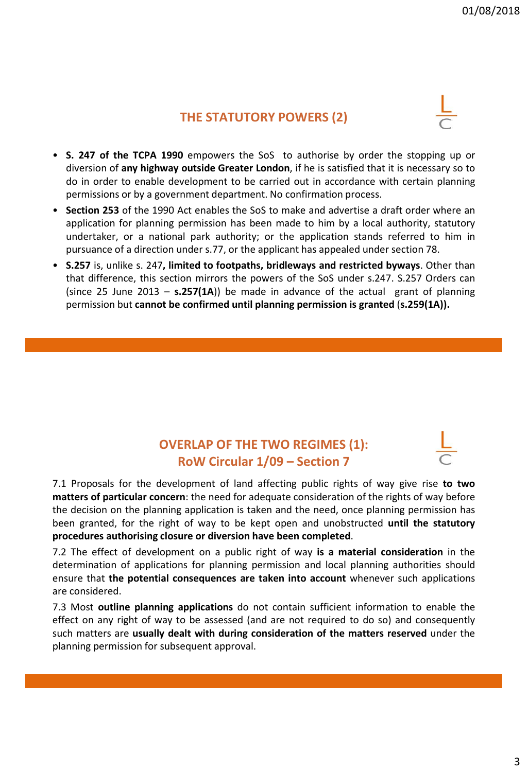#### **THE STATUTORY POWERS (2)**

- **S. 247 of the TCPA 1990** empowers the SoS to authorise by order the stopping up or diversion of **any highway outside Greater London**, if he is satisfied that it is necessary so to do in order to enable development to be carried out in accordance with certain planning permissions or by a government department. No confirmation process.
- **Section 253** of the 1990 Act enables the SoS to make and advertise a draft order where an application for planning permission has been made to him by a local authority, statutory undertaker, or a national park authority; or the application stands referred to him in pursuance of a direction under s.77, or the applicant has appealed under section 78.
- **S.257** is, unlike s. 247**, limited to footpaths, bridleways and restricted byways**. Other than that difference, this section mirrors the powers of the SoS under s.247. S.257 Orders can (since 25 June 2013 – **s.257(1A**)) be made in advance of the actual grant of planning permission but **cannot be confirmed until planning permission is granted** (**s.259(1A)).**

# **OVERLAP OF THE TWO REGIMES (1): RoW Circular 1/09 – Section 7**

7.1 Proposals for the development of land affecting public rights of way give rise **to two matters of particular concern**: the need for adequate consideration of the rights of way before the decision on the planning application is taken and the need, once planning permission has been granted, for the right of way to be kept open and unobstructed **until the statutory procedures authorising closure or diversion have been completed**.

7.2 The effect of development on a public right of way **is a material consideration** in the determination of applications for planning permission and local planning authorities should ensure that **the potential consequences are taken into account** whenever such applications are considered.

7.3 Most **outline planning applications** do not contain sufficient information to enable the effect on any right of way to be assessed (and are not required to do so) and consequently such matters are **usually dealt with during consideration of the matters reserved** under the planning permission for subsequent approval.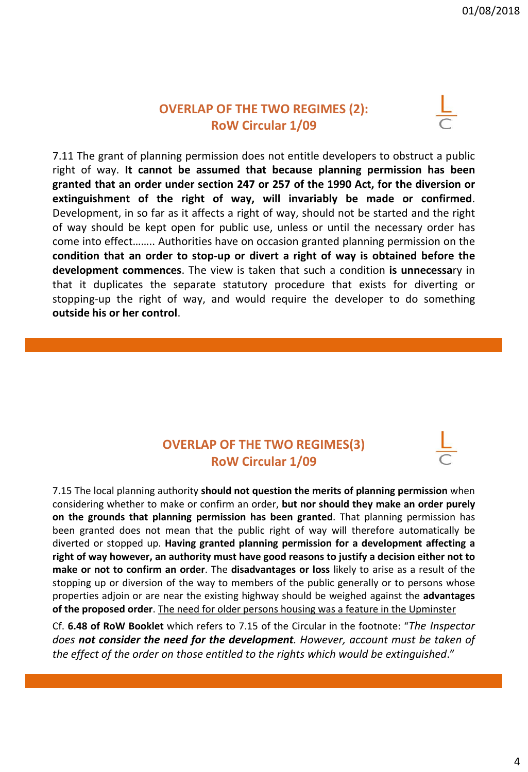### **OVERLAP OF THE TWO REGIMES (2): RoW Circular 1/09**



7.11 The grant of planning permission does not entitle developers to obstruct a public right of way. **It cannot be assumed that because planning permission has been granted that an order under section 247 or 257 of the 1990 Act, for the diversion or extinguishment of the right of way, will invariably be made or confirmed**. Development, in so far as it affects a right of way, should not be started and the right of way should be kept open for public use, unless or until the necessary order has come into effect…….. Authorities have on occasion granted planning permission on the **condition that an order to stop-up or divert a right of way is obtained before the development commences**. The view is taken that such a condition **is unnecessa**ry in that it duplicates the separate statutory procedure that exists for diverting or stopping-up the right of way, and would require the developer to do something **outside his or her control**.

# **OVERLAP OF THE TWO REGIMES(3) RoW Circular 1/09**

7.15 The local planning authority **should not question the merits of planning permission** when considering whether to make or confirm an order, **but nor should they make an order purely on the grounds that planning permission has been granted**. That planning permission has been granted does not mean that the public right of way will therefore automatically be diverted or stopped up. **Having granted planning permission for a development affecting a right of way however, an authority must have good reasons to justify a decision either not to make or not to confirm an order**. The **disadvantages or loss** likely to arise as a result of the stopping up or diversion of the way to members of the public generally or to persons whose properties adjoin or are near the existing highway should be weighed against the **advantages of the proposed order**. The need for older persons housing was a feature in the Upminster

Cf. **6.48 of RoW Booklet** which refers to 7.15 of the Circular in the footnote: "*The Inspector does not consider the need for the development. However, account must be taken of the effect of the order on those entitled to the rights which would be extinguished*."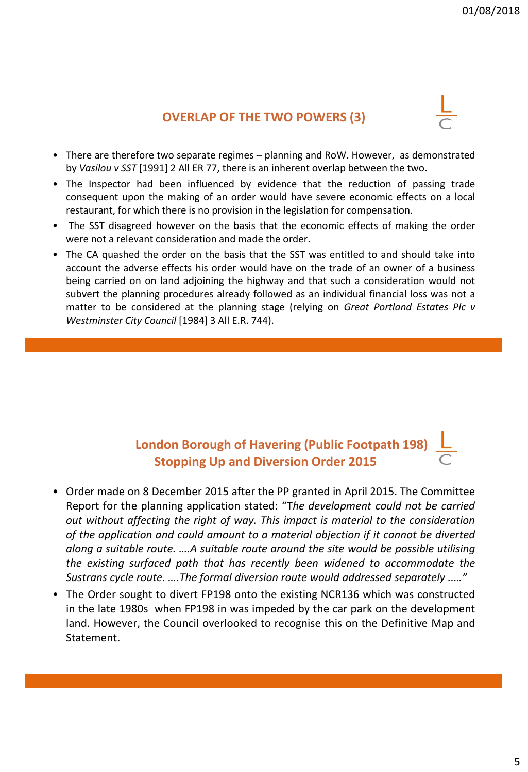# **OVERLAP OF THE TWO POWERS (3)**

- There are therefore two separate regimes planning and RoW. However, as demonstrated by *Vasilou v SST* [1991] 2 All ER 77, there is an inherent overlap between the two.
- The Inspector had been influenced by evidence that the reduction of passing trade consequent upon the making of an order would have severe economic effects on a local restaurant, for which there is no provision in the legislation for compensation.
- The SST disagreed however on the basis that the economic effects of making the order were not a relevant consideration and made the order.
- The CA quashed the order on the basis that the SST was entitled to and should take into account the adverse effects his order would have on the trade of an owner of a business being carried on on land adjoining the highway and that such a consideration would not subvert the planning procedures already followed as an individual financial loss was not a matter to be considered at the planning stage (relying on *Great Portland Estates Plc v Westminster City Council* [1984] 3 All E.R. 744).

# **London Borough of Havering (Public Footpath 198) Stopping Up and Diversion Order 2015**

- Order made on 8 December 2015 after the PP granted in April 2015. The Committee Report for the planning application stated: "T*he development could not be carried out without affecting the right of way. This impact is material to the consideration of the application and could amount to a material objection if it cannot be diverted along a suitable route. ….A suitable route around the site would be possible utilising the existing surfaced path that has recently been widened to accommodate the Sustrans cycle route. ….The formal diversion route would addressed separately ..…"*
- The Order sought to divert FP198 onto the existing NCR136 which was constructed in the late 1980s when FP198 in was impeded by the car park on the development land. However, the Council overlooked to recognise this on the Definitive Map and Statement.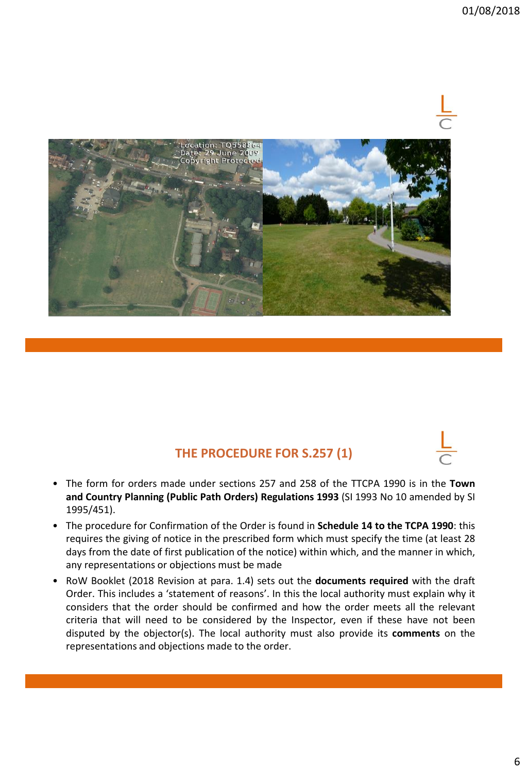

# **THE PROCEDURE FOR S.257 (1)**

- The form for orders made under sections 257 and 258 of the TTCPA 1990 is in the **Town and Country Planning (Public Path Orders) Regulations 1993** (SI 1993 No 10 amended by SI 1995/451).
- The procedure for Confirmation of the Order is found in **Schedule 14 to the TCPA 1990**: this requires the giving of notice in the prescribed form which must specify the time (at least 28 days from the date of first publication of the notice) within which, and the manner in which, any representations or objections must be made
- RoW Booklet (2018 Revision at para. 1.4) sets out the **documents required** with the draft Order. This includes a 'statement of reasons'. In this the local authority must explain why it considers that the order should be confirmed and how the order meets all the relevant criteria that will need to be considered by the Inspector, even if these have not been disputed by the objector(s). The local authority must also provide its **comments** on the representations and objections made to the order.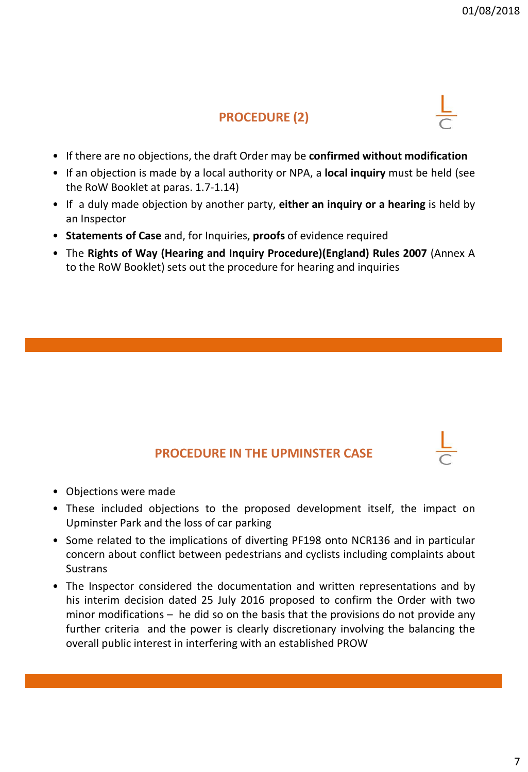# **PROCEDURE (2)**

- If there are no objections, the draft Order may be **confirmed without modification**
- If an objection is made by a local authority or NPA, a **local inquiry** must be held (see the RoW Booklet at paras. 1.7-1.14)
- If a duly made objection by another party, **either an inquiry or a hearing** is held by an Inspector
- **Statements of Case** and, for Inquiries, **proofs** of evidence required
- The **Rights of Way (Hearing and Inquiry Procedure)(England) Rules 2007** (Annex A to the RoW Booklet) sets out the procedure for hearing and inquiries

# **PROCEDURE IN THE UPMINSTER CASE**

- Objections were made
- These included objections to the proposed development itself, the impact on Upminster Park and the loss of car parking
- Some related to the implications of diverting PF198 onto NCR136 and in particular concern about conflict between pedestrians and cyclists including complaints about **Sustrans**
- The Inspector considered the documentation and written representations and by his interim decision dated 25 July 2016 proposed to confirm the Order with two minor modifications – he did so on the basis that the provisions do not provide any further criteria and the power is clearly discretionary involving the balancing the overall public interest in interfering with an established PROW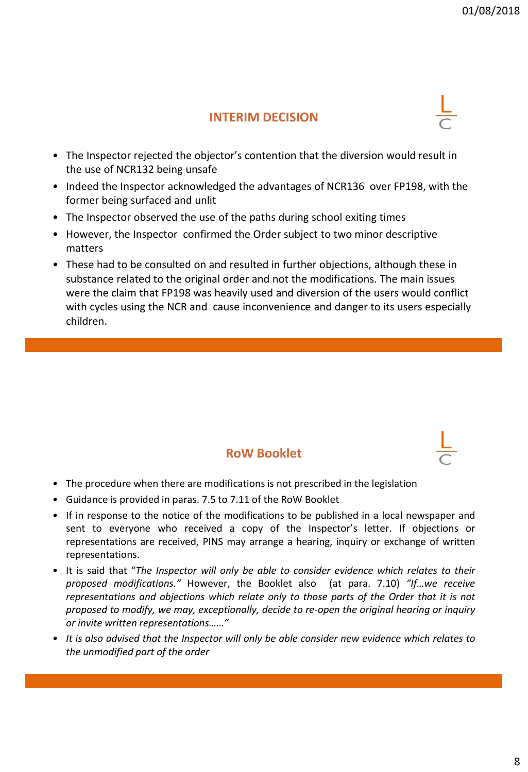### **INTERIM DECISION**

- The Inspector rejected the objector's contention that the diversion would result in the use of NCR132 being unsafe
- Indeed the Inspector acknowledged the advantages of NCR136 over FP198, with the former being surfaced and unlit
- The Inspector observed the use of the paths during school exiting times
- However, the Inspector confirmed the Order subject to two minor descriptive matters
- These had to be consulted on and resulted in further objections, although these in substance related to the original order and not the modifications. The main issues were the claim that FP198 was heavily used and diversion of the users would conflict with cycles using the NCR and cause inconvenience and danger to its users especially children.

#### **RoW Booklet**

- The procedure when there are modifications is not prescribed in the legislation
- Guidance is provided in paras. 7.5 to 7.11 of the RoW Booklet
- If in response to the notice of the modifications to be published in a local newspaper and sent to everyone who received a copy of the Inspector's letter. If objections or representations are received, PINS may arrange a hearing, inquiry or exchange of written representations.
- It is said that "*The Inspector will only be able to consider evidence which relates to their proposed modifications."* However, the Booklet also (at para. 7.10) *"If…we receive representations and objections which relate only to those parts of the Order that it is not proposed to modify, we may, exceptionally, decide to re-open the original hearing or inquiry or invite written representations……"*
- *It is also advised that the Inspector will only be able consider new evidence which relates to the unmodified part of the order*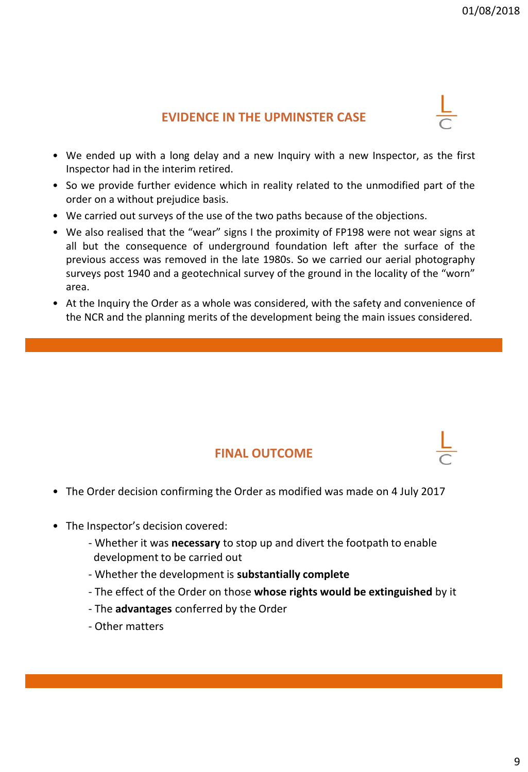# **EVIDENCE IN THE UPMINSTER CASE**

- We ended up with a long delay and a new Inquiry with a new Inspector, as the first Inspector had in the interim retired.
- So we provide further evidence which in reality related to the unmodified part of the order on a without prejudice basis.
- We carried out surveys of the use of the two paths because of the objections.
- We also realised that the "wear" signs I the proximity of FP198 were not wear signs at all but the consequence of underground foundation left after the surface of the previous access was removed in the late 1980s. So we carried our aerial photography surveys post 1940 and a geotechnical survey of the ground in the locality of the "worn" area.
- At the Inquiry the Order as a whole was considered, with the safety and convenience of the NCR and the planning merits of the development being the main issues considered.

# **FINAL OUTCOME**

- The Order decision confirming the Order as modified was made on 4 July 2017
- The Inspector's decision covered:
	- Whether it was **necessary** to stop up and divert the footpath to enable development to be carried out
	- Whether the development is **substantially complete**
	- The effect of the Order on those **whose rights would be extinguished** by it
	- The **advantages** conferred by the Order
	- Other matters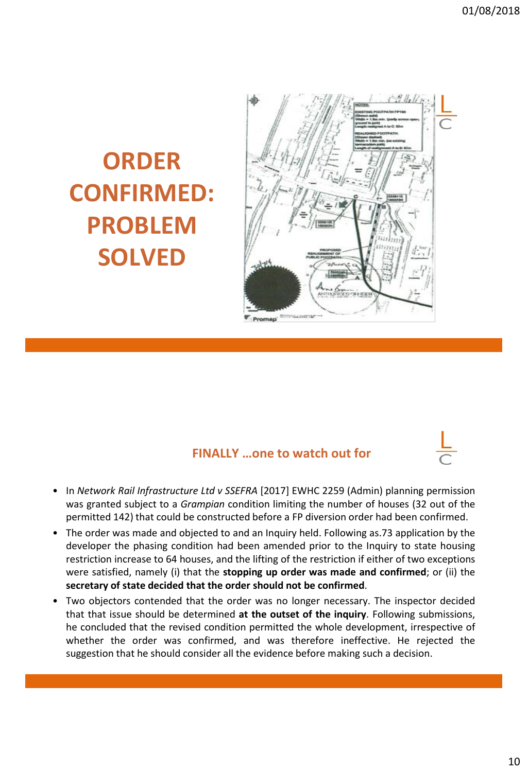# **ORDER CONFIRMED: PROBLEM SOLVED**



# **FINALLY …one to watch out for**

- In *Network Rail Infrastructure Ltd v SSEFRA* [2017] EWHC 2259 (Admin) planning permission was granted subject to a *Grampian* condition limiting the number of houses (32 out of the permitted 142) that could be constructed before a FP diversion order had been confirmed.
- The order was made and objected to and an Inquiry held. Following as.73 application by the developer the phasing condition had been amended prior to the Inquiry to state housing restriction increase to 64 houses, and the lifting of the restriction if either of two exceptions were satisfied, namely (i) that the **stopping up order was made and confirmed**; or (ii) the **secretary of state decided that the order should not be confirmed**.
- Two objectors contended that the order was no longer necessary. The inspector decided that that issue should be determined **at the outset of the inquiry**. Following submissions, he concluded that the revised condition permitted the whole development, irrespective of whether the order was confirmed, and was therefore ineffective. He rejected the suggestion that he should consider all the evidence before making such a decision.